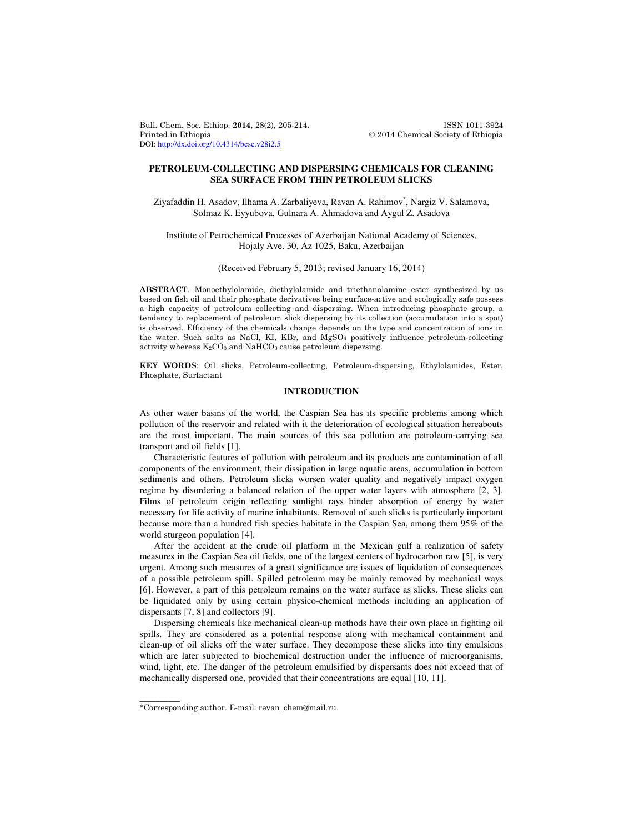Bull. Chem. Soc. Ethiop. 2014, 28(2), 205-214. ISSN 1011-3924 Printed in Ethiopia **2014** Chemical Society of Ethiopia DOI: http://dx.doi.org/10.4314/bcse.v28i2.5

# **PETROLEUM-COLLECTING AND DISPERSING CHEMICALS FOR CLEANING SEA SURFACE FROM THIN PETROLEUM SLICKS**

Ziyafaddin H. Asadov, Ilhama A. Zarbaliyeva, Ravan A. Rahimov\* , Nargiz V. Salamova, Solmaz K. Eyyubova, Gulnara A. Ahmadova and Aygul Z. Asadova

Institute of Petrochemical Processes of Azerbaijan National Academy of Sciences, Hojaly Ave. 30, Az 1025, Baku, Azerbaijan

### (Received February 5, 2013; revised January 16, 2014)

ABSTRACT. Monoethylolamide, diethylolamide and triethanolamine ester synthesized by us based on fish oil and their phosphate derivatives being surface-active and ecologically safe possess a high capacity of petroleum collecting and dispersing. When introducing phosphate group, a tendency to replacement of petroleum slick dispersing by its collection (accumulation into a spot) is observed. Efficiency of the chemicals change depends on the type and concentration of ions in the water. Such salts as NaCl, KI, KBr, and  $MgSO<sub>4</sub>$  positively influence petroleum-collecting activity whereas  $K_2CO_3$  and  $NAHCO_3$  cause petroleum dispersing.

KEY WORDS: Oil slicks, Petroleum-collecting, Petroleum-dispersing, Ethylolamides, Ester, Phosphate, Surfactant

## **INTRODUCTION**

As other water basins of the world, the Caspian Sea has its specific problems among which pollution of the reservoir and related with it the deterioration of ecological situation hereabouts are the most important. The main sources of this sea pollution are petroleum-carrying sea transport and oil fields [1].

 Characteristic features of pollution with petroleum and its products are contamination of all components of the environment, their dissipation in large aquatic areas, accumulation in bottom sediments and others. Petroleum slicks worsen water quality and negatively impact oxygen regime by disordering a balanced relation of the upper water layers with atmosphere [2, 3]. Films of petroleum origin reflecting sunlight rays hinder absorption of energy by water necessary for life activity of marine inhabitants. Removal of such slicks is particularly important because more than a hundred fish species habitate in the Caspian Sea, among them 95% of the world sturgeon population [4].

 After the accident at the crude oil platform in the Mexican gulf a realization of safety measures in the Caspian Sea oil fields, one of the largest centers of hydrocarbon raw [5], is very urgent. Among such measures of a great significance are issues of liquidation of consequences of a possible petroleum spill. Spilled petroleum may be mainly removed by mechanical ways [6]. However, a part of this petroleum remains on the water surface as slicks. These slicks can be liquidated only by using certain physico-chemical methods including an application of dispersants [7, 8] and collectors [9].

 Dispersing chemicals like mechanical clean-up methods have their own place in fighting oil spills. They are considered as a potential response along with mechanical containment and clean-up of oil slicks off the water surface. They decompose these slicks into tiny emulsions which are later subjected to biochemical destruction under the influence of microorganisms, wind, light, etc. The danger of the petroleum emulsified by dispersants does not exceed that of mechanically dispersed one, provided that their concentrations are equal [10, 11].

\_\_\_\_\_\_\_\_\_\_

<sup>\*</sup>Corresponding author. E-mail: revan\_chem@mail.ru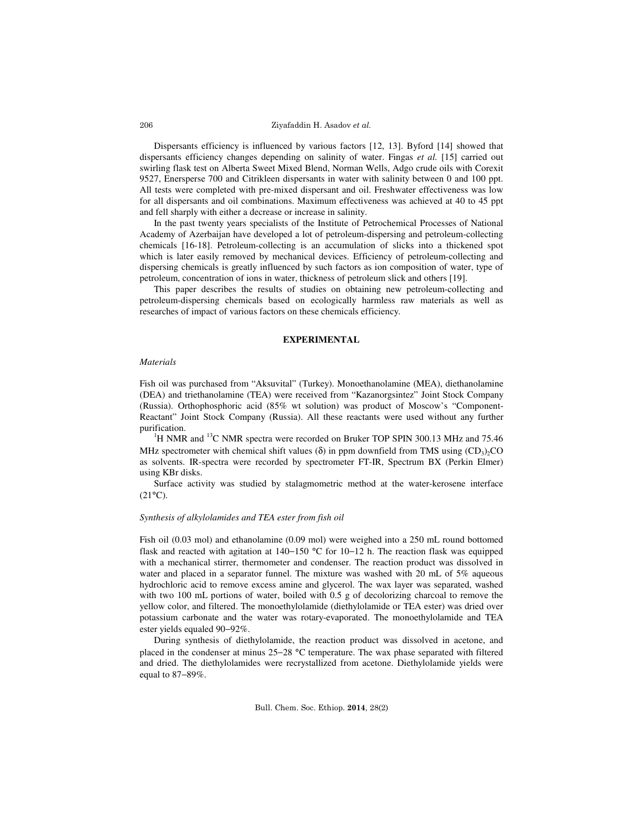Ziyafaddin H. Asadov et al.

 Dispersants efficiency is influenced by various factors [12, 13]. Byford [14] showed that dispersants efficiency changes depending on salinity of water. Fingas *et al.* [15] carried out swirling flask test on Alberta Sweet Mixed Blend, Norman Wells, Adgo crude oils with Corexit 9527, Enersperse 700 and Citrikleen dispersants in water with salinity between 0 and 100 ppt. All tests were completed with pre-mixed dispersant and oil. Freshwater effectiveness was low for all dispersants and oil combinations. Maximum effectiveness was achieved at 40 to 45 ppt and fell sharply with either a decrease or increase in salinity.

 In the past twenty years specialists of the Institute of Petrochemical Processes of National Academy of Azerbaijan have developed a lot of petroleum-dispersing and petroleum-collecting chemicals [16-18]. Petroleum-collecting is an accumulation of slicks into a thickened spot which is later easily removed by mechanical devices. Efficiency of petroleum-collecting and dispersing chemicals is greatly influenced by such factors as ion composition of water, type of petroleum, concentration of ions in water, thickness of petroleum slick and others [19].

 This paper describes the results of studies on obtaining new petroleum-collecting and petroleum-dispersing chemicals based on ecologically harmless raw materials as well as researches of impact of various factors on these chemicals efficiency.

# **EXPERIMENTAL**

#### *Materials*

Fish oil was purchased from "Aksuvital" (Turkey). Monoethanolamine (MEA), diethanolamine (DEA) and triethanolamine (TEA) were received from "Kazanorgsintez" Joint Stock Company (Russia). Orthophosphoric acid (85% wt solution) was product of Moscow's "Component-Reactant" Joint Stock Company (Russia). All these reactants were used without any further purification.

 $1_H$  NMR and  $13_C$  NMR spectra were recorded on Bruker TOP SPIN 300.13 MHz and 75.46 MHz spectrometer with chemical shift values ( $\delta$ ) in ppm downfield from TMS using  $(CD_3)_2CO$ as solvents. IR-spectra were recorded by spectrometer FT-IR, Spectrum BX (Perkin Elmer) using KBr disks.

 Surface activity was studied by stalagmometric method at the water-kerosene interface  $(21^{\circ}C).$ 

## *Synthesis of alkylolamides and TEA ester from fish oil*

Fish oil (0.03 mol) and ethanolamine (0.09 mol) were weighed into a 250 mL round bottomed flask and reacted with agitation at 140−150 °C for 10−12 h. The reaction flask was equipped with a mechanical stirrer, thermometer and condenser. The reaction product was dissolved in water and placed in a separator funnel. The mixture was washed with 20 mL of 5% aqueous hydrochloric acid to remove excess amine and glycerol. The wax layer was separated, washed with two 100 mL portions of water, boiled with 0.5 g of decolorizing charcoal to remove the yellow color, and filtered. The monoethylolamide (diethylolamide or TEA ester) was dried over potassium carbonate and the water was rotary-evaporated. The monoethylolamide and TEA ester yields equaled 90−92%.

During synthesis of diethylolamide, the reaction product was dissolved in acetone, and placed in the condenser at minus 25−28 °C temperature. The wax phase separated with filtered and dried. The diethylolamides were recrystallized from acetone. Diethylolamide yields were equal to 87−89%.

206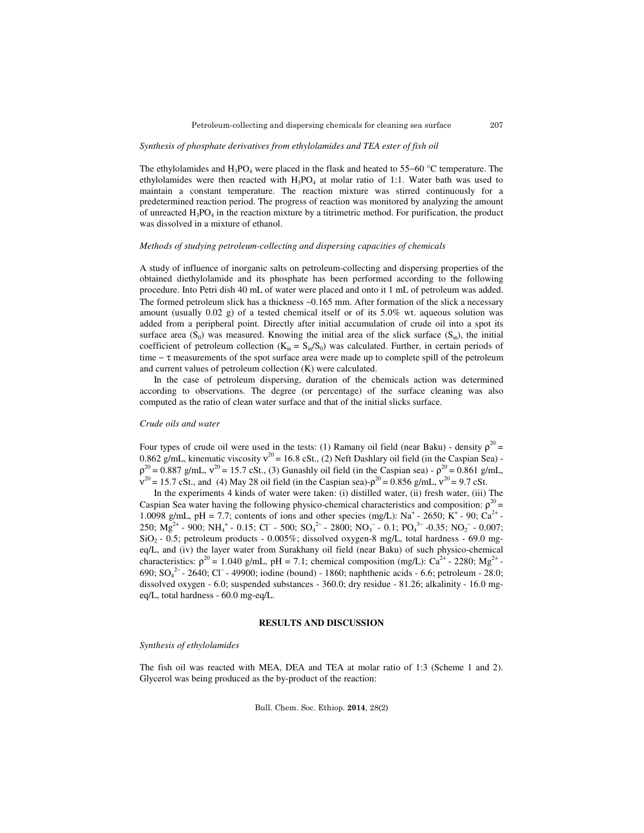### *Synthesis of phosphate derivatives from ethylolamides and TEA ester of fish oil*

The ethylolamides and  $H_3PO_4$  were placed in the flask and heated to 55–60 °C temperature. The ethylolamides were then reacted with  $H_3PO_4$  at molar ratio of 1:1. Water bath was used to maintain a constant temperature. The reaction mixture was stirred continuously for a predetermined reaction period. The progress of reaction was monitored by analyzing the amount of unreacted  $H_3PO_4$  in the reaction mixture by a titrimetric method. For purification, the product was dissolved in a mixture of ethanol.

### *Methods of studying petroleum-collecting and dispersing capacities of chemicals*

A study of influence of inorganic salts on petroleum-collecting and dispersing properties of the obtained diethylolamide and its phosphate has been performed according to the following procedure. Into Petri dish 40 mL of water were placed and onto it 1 mL of petroleum was added. The formed petroleum slick has a thickness ∼0.165 mm. After formation of the slick a necessary amount (usually  $0.02$  g) of a tested chemical itself or of its  $5.0\%$  wt. aqueous solution was added from a peripheral point. Directly after initial accumulation of crude oil into a spot its surface area  $(S_0)$  was measured. Knowing the initial area of the slick surface  $(S_{in})$ , the initial coefficient of petroleum collection ( $K_{in} = S_{in}/S_0$ ) was calculated. Further, in certain periods of time − τ measurements of the spot surface area were made up to complete spill of the petroleum and current values of petroleum collection (K) were calculated.

In the case of petroleum dispersing, duration of the chemicals action was determined according to observations. The degree (or percentage) of the surface cleaning was also computed as the ratio of clean water surface and that of the initial slicks surface.

## *Crude oils and water*

Four types of crude oil were used in the tests: (1) Ramany oil field (near Baku) - density  $\rho^{20}$  = 0.862 g/mL, kinematic viscosity  $v^{20}$  = 16.8 cSt., (2) Neft Dashlary oil field (in the Caspian Sea) - $\rho^{20}$  = 0.887 g/mL,  $v^{20}$  = 15.7 cSt., (3) Gunashly oil field (in the Caspian sea) -  $\rho^{20}$  = 0.861 g/mL,  $v^{20} = 15.7 \text{ cSt.}$ , and (4) May 28 oil field (in the Caspian sea)- $\rho^{20} = 0.856 \text{ g/mL}$ ,  $v^{20} = 9.7 \text{ cSt.}$ 

In the experiments 4 kinds of water were taken: (i) distilled water, (ii) fresh water, (iii) The Caspian Sea water having the following physico-chemical characteristics and composition:  $\rho^{20}$  = 1.0098 g/mL, pH = 7.7; contents of ions and other species (mg/L): Na<sup>+</sup> - 2650; K<sup>+</sup> - 90; Ca<sup>2+</sup> -250; Mg<sup>2+</sup> - 900; NH<sub>4</sub><sup>+</sup> - 0.15; Cl<sup>−</sup> - 500; SO<sub>4</sub><sup>2−</sup> - 2800; NO<sub>3</sub><sup>−</sup> - 0.1; PO<sub>4</sub><sup>3−</sup> -0.35; NO<sub>2</sub><sup>−</sup> - 0.007;  $SiO<sub>2</sub>$  - 0.5; petroleum products - 0.005%; dissolved oxygen-8 mg/L, total hardness - 69.0 mgeq/L, and (iv) the layer water from Surakhany oil field (near Baku) of such physico-chemical characteristics:  $\rho^{20} = 1.040$  g/mL, pH = 7.1; chemical composition (mg/L): Ca<sup>2+</sup> - 2280; Mg<sup>2+</sup> -690; SO<sub>4</sub><sup>2-</sup> - 2640; Cl<sup>-</sup> - 49900; iodine (bound) - 1860; naphthenic acids - 6.6; petroleum - 28.0; dissolved oxygen - 6.0; suspended substances - 360.0; dry residue - 81.26; alkalinity - 16.0 mgeq/L, total hardness - 60.0 mg-eq/L.

## **RESULTS AND DISCUSSION**

#### *Synthesis of ethylolamides*

The fish oil was reacted with MEA, DEA and TEA at molar ratio of 1:3 (Scheme 1 and 2). Glycerol was being produced as the by-product of the reaction: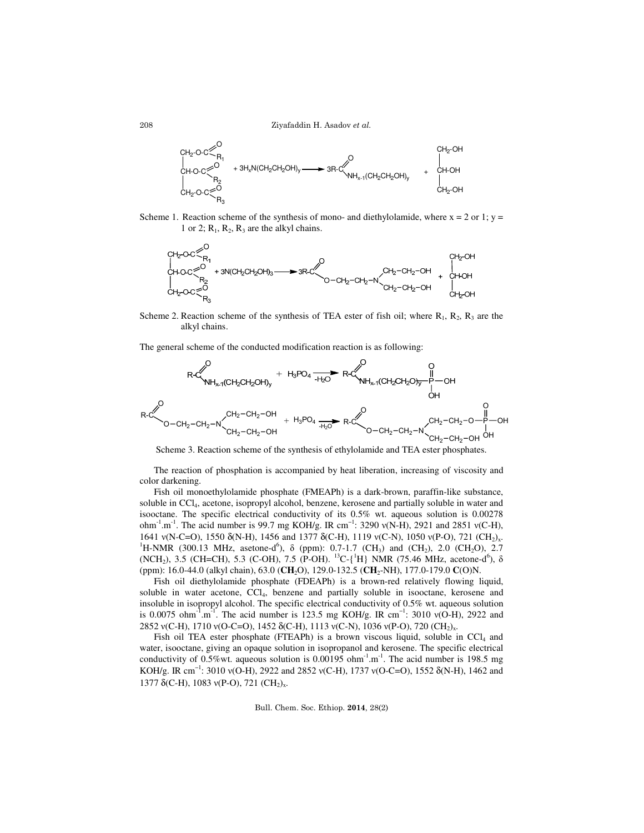Ziyafaddin H. Asadov et al.



Scheme 1. Reaction scheme of the synthesis of mono- and diethylolamide, where  $x = 2$  or 1;  $y =$ 1 or 2;  $R_1$ ,  $R_2$ ,  $R_3$  are the alkyl chains.



Scheme 2. Reaction scheme of the synthesis of TEA ester of fish oil; where  $R_1$ ,  $R_2$ ,  $R_3$  are the alkyl chains.

The general scheme of the conducted modification reaction is as following:



Scheme 3. Reaction scheme of the synthesis of ethylolamide and TEA ester phosphates.

The reaction of phosphation is accompanied by heat liberation, increasing of viscosity and color darkening.

 Fish oil monoethylolamide phosphate (FMEAPh) is a dark-brown, paraffin-like substance, soluble in CCl<sup>4</sup> , acetone, isopropyl alcohol, benzene, kеrоsene and partially soluble in water and isooctane. The specific electrical conductivity of its 0.5% wt. aqueous solution is 0.00278 ohm<sup>-1</sup>.m<sup>-1</sup>. The acid number is 99.7 mg KOH/g. IR cm<sup>-1</sup>: 3290 v(N-H), 2921 and 2851 v(C-H), 1641 v(N-C=O), 1550 δ(N-H), 1456 and 1377 δ(C-H), 1119 v(C-N), 1050 v(P-O), 721 (CH<sub>2)x</sub>. <sup>1</sup>H-NMR (300.13 MHz, asetone-d<sup>6</sup>),  $\delta$  (ppm): 0.7-1.7 (CH<sub>3</sub>) and (CH<sub>2</sub>), 2.0 (CH<sub>2</sub>O), 2.7 (NCH<sub>2</sub>), 3.5 (CH=CH), 5.3 (C-OH), 7.5 (P-OH). <sup>13</sup>C-{<sup>1</sup>H} NMR (75.46 MHz, acetone-d<sup>6</sup>),  $\delta$ (ppm): 16.0-44.0 (alkyl chain), 63.0 (**CH**2O), 129.0-132.5 (**CH**2-NH), 177.0-179.0 **C**(O)N.

Fish oil diethylolamide phosphate (FDEAPh) is a brown-red relatively flowing liquid, soluble in water acetone, CCl<sub>4</sub>, benzene and partially soluble in isooctane, kerosene and insoluble in isopropyl alcohol. The specific electrical conductivity of 0.5% wt. aqueous solution is 0.0075 ohm<sup>-1</sup>.m<sup>-1</sup>. The acid number is 123.5 mg KOH/g. IR cm<sup>-1</sup>: 3010 v(O-H), 2922 and 2852 v(C-H), 1710 v(O-C=O), 1452 δ(C-H), 1113 v(C-N), 1036 v(P-O), 720 (CH<sub>2)x</sub>.

Fish oil TEA ester phosphate (FTEAPh) is a brown viscous liquid, soluble in  $CCl<sub>4</sub>$  and water, isooctane, giving an opaque solution in isopropanol and kerosene. The specific electrical conductivity of 0.5%wt. aqueous solution is  $0.00195$  ohm<sup>-1</sup>.m<sup>-1</sup>. The acid number is 198.5 mg KOH/g. IR cm<sup>-1</sup>: 3010 v(O-H), 2922 and 2852 v(C-H), 1737 v(O-C=O), 1552 δ(N-H), 1462 and 1377  $\delta$ (C-H), 1083 v(P-O), 721 (CH<sub>2</sub>)<sub>x</sub>.

Bull. Chem. Soc. Ethiop. 2014, 28(2)

208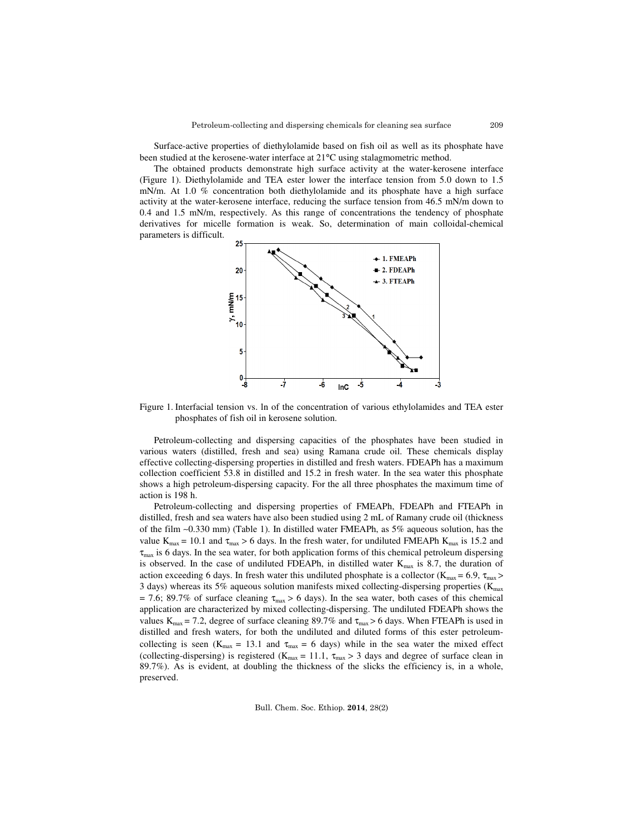Surface-active properties of diethylolamide based on fish oil as well as its phosphate have been studied at the kerosene-water interface at 21°C using stalagmometric method.

The obtained products demonstrate high surface activity at the water-kerosene interface (Figure 1). Diethylolamide and TEA ester lower the interface tension from 5.0 down to 1.5 mN/m. At 1.0 % concentration both diethylolamide and its phosphate have a high surface activity at the water-kerosene interface, reducing the surface tension from 46.5 mN/m down to 0.4 and 1.5 mN/m, respectively. As this range of concentrations the tendency of phosphate derivatives for micelle formation is weak. So, determination of main colloidal-chemical parameters is difficult.



Figure 1. Interfacial tension vs. ln of the concentration of various ethylolamides and TEA ester phosphates of fish oil in kerosene solution.

Petroleum-collecting and dispersing capacities of the phosphates have been studied in various waters (distilled, fresh and sea) using Ramana crude oil. These chemicals display effective collecting-dispersing properties in distilled and fresh waters. FDEAPh has a maximum collection coefficient 53.8 in distilled and 15.2 in fresh water. In the sea water this phosphate shows a high petroleum-dispersing capacity. For the all three phosphates the maximum time of action is 198 h.

 Petroleum-collecting and dispersing properties of FMEAPh, FDEAPh and FTEAPh in distilled, fresh and sea waters have also been studied using 2 mL of Ramany crude oil (thickness of the film ∼0.330 mm) (Table 1). In distilled water FMEAPh, as 5% aqueous solution, has the value  $K_{max} = 10.1$  and  $\tau_{max} > 6$  days. In the fresh water, for undiluted FMEAPh  $K_{max}$  is 15.2 and  $\tau_{\text{max}}$  is 6 days. In the sea water, for both application forms of this chemical petroleum dispersing is observed. In the case of undiluted FDEAPh, in distilled water  $K_{max}$  is 8.7, the duration of action exceeding 6 days. In fresh water this undiluted phosphate is a collector ( $K_{\text{max}} = 6.9$ ,  $\tau_{\text{max}} >$ 3 days) whereas its 5% aqueous solution manifests mixed collecting-dispersing properties ( $K_{\text{max}}$ )  $= 7.6$ ; 89.7% of surface cleaning  $\tau_{\text{max}} > 6$  days). In the sea water, both cases of this chemical application are characterized by mixed collecting-dispersing. The undiluted FDEAPh shows the values  $K_{\text{max}} = 7.2$ , degree of surface cleaning 89.7% and  $\tau_{\text{max}} > 6$  days. When FTEAPh is used in distilled and fresh waters, for both the undiluted and diluted forms of this ester petroleumcollecting is seen (K<sub>max</sub> = 13.1 and  $\tau_{\text{max}} = 6$  days) while in the sea water the mixed effect (collecting-dispersing) is registered ( $K_{max} = 11.1$ ,  $\tau_{max} > 3$  days and degree of surface clean in 89.7%). As is evident, at doubling the thickness of the slicks the efficiency is, in a whole, preserved.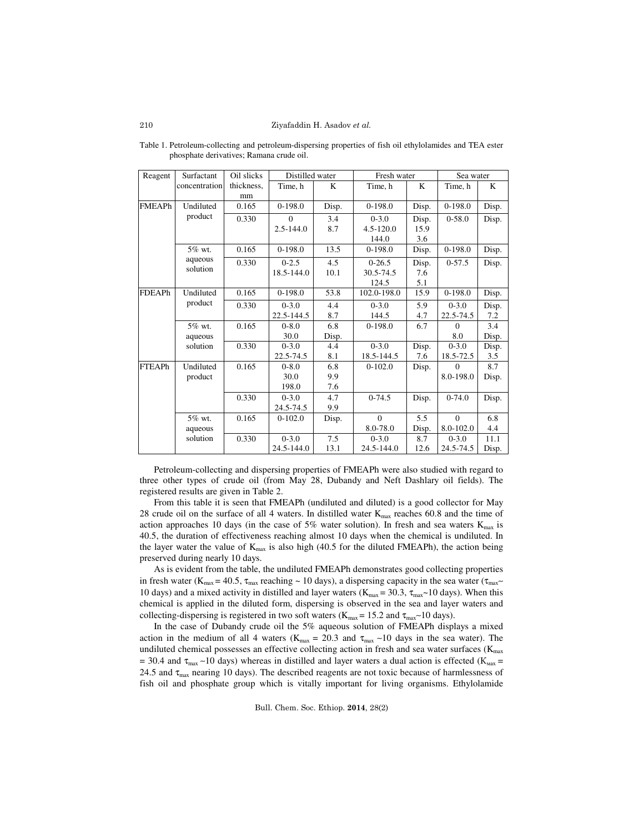| Reagent       | Surfactant           | Oil slicks | Distilled water |       | Fresh water   |       | Sea water  |       |
|---------------|----------------------|------------|-----------------|-------|---------------|-------|------------|-------|
|               | concentration        | thickness, | Time, h         | K     | Time, h       | K     | Time, h    | K     |
|               |                      | mm         |                 |       |               |       |            |       |
| <b>FMEAPh</b> | Undiluted<br>product | 0.165      | $0-198.0$       | Disp. | $0-198.0$     | Disp. | $0-198.0$  | Disp. |
|               |                      | 0.330      | $\Omega$        | 3.4   | $0 - 3.0$     | Disp. | $0 - 58.0$ | Disp. |
|               |                      |            | $2.5 - 144.0$   | 8.7   | $4.5 - 120.0$ | 15.9  |            |       |
|               |                      |            |                 |       | 144.0         | 3.6   |            |       |
|               | 5% wt.<br>aqueous    | 0.165      | $0-198.0$       | 13.5  | $0-198.0$     | Disp. | $0-198.0$  | Disp. |
|               |                      | 0.330      | $0 - 2.5$       | 4.5   | $0-26.5$      | Disp. | $0-57.5$   | Disp. |
|               | solution             |            | 18.5-144.0      | 10.1  | 30.5-74.5     | 7.6   |            |       |
|               |                      |            |                 |       | 124.5         | 5.1   |            |       |
| <b>FDEAPh</b> | Undiluted            | 0.165      | $0-198.0$       | 53.8  | 102.0-198.0   | 15.9  | $0-198.0$  | Disp. |
|               | product              | 0.330      | $0 - 3.0$       | 4.4   | $0 - 3.0$     | 5.9   | $0 - 3.0$  | Disp. |
|               |                      |            | 22.5-144.5      | 8.7   | 144.5         | 4.7   | 22.5-74.5  | 7.2   |
|               | 5% wt.               | 0.165      | $0 - 8.0$       | 6.8   | $0-198.0$     | 6.7   | $\Omega$   | 3.4   |
|               | aqueous              |            | 30.0            | Disp. |               |       | 8.0        | Disp. |
|               | solution             | 0.330      | $0 - 3.0$       | 4.4   | $0 - 3.0$     | Disp. | $0 - 3.0$  | Disp. |
|               |                      |            | 22.5-74.5       | 8.1   | 18.5-144.5    | 7.6   | 18.5-72.5  | 3.5   |
| <b>FTEAPh</b> | Undiluted            | 0.165      | $0 - 8.0$       | 6.8   | $0-102.0$     | Disp. | $\Omega$   | 8.7   |
|               | product              |            | 30.0            | 9.9   |               |       | 8.0-198.0  | Disp. |
|               |                      |            | 198.0           | 7.6   |               |       |            |       |
|               |                      | 0.330      | $0 - 3.0$       | 4.7   | $0-74.5$      | Disp. | $0-74.0$   | Disp. |
|               |                      |            | 24.5-74.5       | 9.9   |               |       |            |       |
|               | 5% wt.               | 0.165      | $0-102.0$       | Disp. | $\Omega$      | 5.5   | $\Omega$   | 6.8   |
|               | aqueous              |            |                 |       | 8.0-78.0      | Disp. | 8.0-102.0  | 4.4   |
|               | solution             | 0.330      | $0 - 3.0$       | 7.5   | $0 - 3.0$     | 8.7   | $0 - 3.0$  | 11.1  |
|               |                      |            | 24.5-144.0      | 13.1  | 24.5-144.0    | 12.6  | 24.5-74.5  | Disp. |

Table 1. Petroleum-collecting and petroleum-dispersing properties of fish oil ethylolamides and TEA ester phosphate derivatives; Ramana crude oil.

 Petroleum-collecting and dispersing properties of FMEAPh were also studied with regard to three other types of crude oil (from May 28, Dubandy and Neft Dashlary oil fields). The registered results are given in Table 2.

From this table it is seen that FMEAPh (undiluted and diluted) is a good collector for May 28 crude oil on the surface of all 4 waters. In distilled water  $K_{\text{max}}$  reaches 60.8 and the time of action approaches 10 days (in the case of 5% water solution). In fresh and sea waters  $K_{\text{max}}$  is 40.5, the duration of effectiveness reaching almost 10 days when the chemical is undiluted. In the layer water the value of  $K_{max}$  is also high (40.5 for the diluted FMEAPh), the action being preserved during nearly 10 days.

 As is evident from the table, the undiluted FMEAPh demonstrates good collecting properties in fresh water (K<sub>max</sub> = 40.5,  $\tau_{\text{max}}$  reaching ~ 10 days), a dispersing capacity in the sea water ( $\tau_{\text{max}}$ ~ 10 days) and a mixed activity in distilled and layer waters ( $K_{\text{max}} = 30.3$ ,  $\tau_{\text{max}}$ ~10 days). When this chemical is applied in the diluted form, dispersing is observed in the sea and layer waters and collecting-dispersing is registered in two soft waters (K<sub>max</sub> = 15.2 and  $\tau_{\text{max}}$ ~10 days).

In the case of Dubandy crude oil the 5% aqueous solution of FMEAPh displays a mixed action in the medium of all 4 waters (K<sub>max</sub> = 20.3 and  $\tau_{\text{max}} \sim 10$  days in the sea water). The undiluted chemical possesses an effective collecting action in fresh and sea water surfaces ( $K_{\text{max}}$ ) = 30.4 and  $\tau_{\text{max}}$  ~10 days) whereas in distilled and layer waters a dual action is effected (K<sub>Max</sub> = 24.5 and  $\tau_{\text{max}}$  nearing 10 days). The described reagents are not toxic because of harmlessness of fish oil and phosphate group which is vitally important for living organisms. Ethylolamide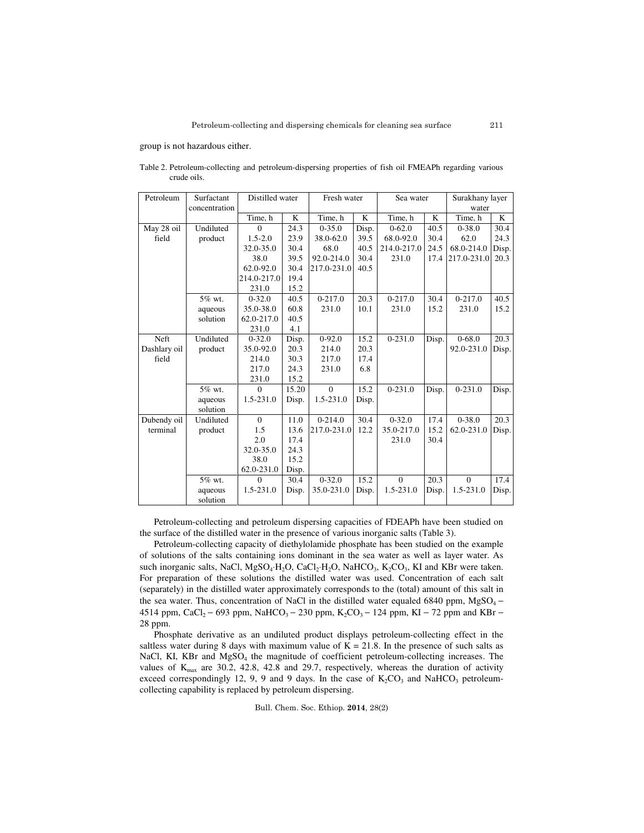group is not hazardous either.

| Petroleum    | Surfactant    | Distilled water |       | Fresh water |       | Sea water      |       | Surakhany layer |       |
|--------------|---------------|-----------------|-------|-------------|-------|----------------|-------|-----------------|-------|
|              | concentration |                 |       |             |       |                |       | water           |       |
|              |               | Time, h         | K     | Time, h     | K     | Time, h        | K     | Time, h         | K     |
| May 28 oil   | Undiluted     | $\Omega$        | 24.3  | $0 - 35.0$  | Disp. | $0 - 62.0$     | 40.5  | $0 - 38.0$      | 30.4  |
| field        | product       | $1.5 - 2.0$     | 23.9  | 38.0-62.0   | 39.5  | 68.0-92.0      | 30.4  | 62.0            | 24.3  |
|              |               | 32.0-35.0       | 30.4  | 68.0        | 40.5  | 214.0-217.0    | 24.5  | 68.0-214.0      | Disp. |
|              |               | 38.0            | 39.5  | 92.0-214.0  | 30.4  | 231.0          | 17.4  | 217.0-231.0     | 20.3  |
|              |               | 62.0-92.0       | 30.4  | 217.0-231.0 | 40.5  |                |       |                 |       |
|              |               | 214.0-217.0     | 19.4  |             |       |                |       |                 |       |
|              |               | 231.0           | 15.2  |             |       |                |       |                 |       |
|              | 5% wt.        | $0 - 32.0$      | 40.5  | $0 - 217.0$ | 20.3  | $0 - 217.0$    | 30.4  | $0 - 217.0$     | 40.5  |
|              | aqueous       | 35.0-38.0       | 60.8  | 231.0       | 10.1  | 231.0          | 15.2  | 231.0           | 15.2  |
|              | solution      | 62.0-217.0      | 40.5  |             |       |                |       |                 |       |
|              |               | 231.0           | 4.1   |             |       |                |       |                 |       |
| Neft         | Undiluted     | $0 - 32.0$      | Disp. | $0-92.0$    | 15.2  | $0 - 231.0$    | Disp. | $0 - 68.0$      | 20.3  |
| Dashlary oil | product       | 35.0-92.0       | 20.3  | 214.0       | 20.3  |                |       | 92.0-231.0      | Disp. |
| field        |               | 214.0           | 30.3  | 217.0       | 17.4  |                |       |                 |       |
|              |               | 217.0           | 24.3  | 231.0       | 6.8   |                |       |                 |       |
|              |               | 231.0           | 15.2  |             |       |                |       |                 |       |
|              | 5% wt.        | $\Omega$        | 15.20 | $\theta$    | 15.2  | $0 - 231.0$    | Disp. | $0 - 231.0$     | Disp. |
|              | aqueous       | $1.5 - 231.0$   | Disp. | 1.5-231.0   | Disp. |                |       |                 |       |
|              | solution      |                 |       |             |       |                |       |                 |       |
| Dubendy oil  | Undiluted     | $\Omega$        | 11.0  | $0 - 214.0$ | 30.4  | $0 - 32.0$     | 17.4  | $0 - 38.0$      | 20.3  |
| terminal     | product       | 1.5             | 13.6  | 217.0-231.0 | 12.2  | 35.0-217.0     | 15.2  | 62.0-231.0      | Disp. |
|              |               | 2.0             | 17.4  |             |       | 231.0          | 30.4  |                 |       |
|              |               | 32.0-35.0       | 24.3  |             |       |                |       |                 |       |
|              |               | 38.0            | 15.2  |             |       |                |       |                 |       |
|              |               | 62.0-231.0      | Disp. |             |       |                |       |                 |       |
|              | 5% wt.        | $\Omega$        | 30.4  | $0 - 32.0$  | 15.2  | $\overline{0}$ | 20.3  | $\overline{0}$  | 17.4  |
|              | aqueous       | 1.5-231.0       | Disp. | 35.0-231.0  | Disp. | 1.5-231.0      | Disp. | 1.5-231.0       | Disp. |
|              | solution      |                 |       |             |       |                |       |                 |       |

Table 2. Petroleum-collecting and petroleum-dispersing properties of fish oil FMEAPh regarding various crude oils.

 Petroleum-collecting and petroleum dispersing capacities of FDEAPh have been studied on the surface of the distilled water in the presence of various inorganic salts (Table 3).

 Petroleum-collecting capacity of diethylolamide phosphate has been studied on the example of solutions of the salts containing ions dominant in the sea water as well as layer water. As such inorganic salts, NaCl, MgSO<sub>4</sub>⋅H<sub>2</sub>O, CaCl<sub>2</sub>⋅H<sub>2</sub>O, NaHCO<sub>3</sub>, K<sub>2</sub>CO<sub>3</sub>, KI and KBr were taken. For preparation of these solutions the distilled water was used. Concentration of each salt (separately) in the distilled water approximately corresponds to the (total) amount of this salt in the sea water. Thus, concentration of NaCl in the distilled water equaled 6840 ppm, MgSO<sub>4</sub> − 4514 ppm, CaCl<sub>2</sub> – 693 ppm, NaHCO<sub>3</sub> – 230 ppm, K<sub>2</sub>CO<sub>3</sub> – 124 ppm, KI – 72 ppm and KBr – 28 ppm.

 Phosphate derivative as an undiluted product displays petroleum-collecting effect in the saltless water during 8 days with maximum value of  $K = 21.8$ . In the presence of such salts as NaCl, KI, KBr and MgSO<sub>4</sub> the magnitude of coefficient petroleum-collecting increases. The values of  $K_{\text{max}}$  are 30.2, 42.8, 42.8 and 29.7, respectively, whereas the duration of activity exceed correspondingly 12, 9, 9 and 9 days. In the case of  $K_2CO_3$  and NaHCO<sub>3</sub> petroleumcollecting capability is replaced by petroleum dispersing.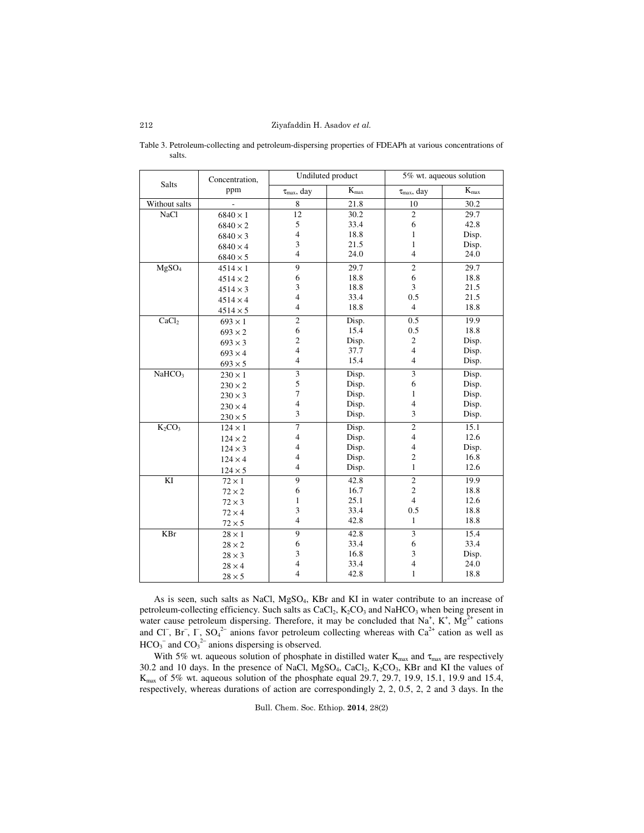|                                | Concentration,  |                          | Undiluted product | 5% wt. aqueous solution  |           |  |
|--------------------------------|-----------------|--------------------------|-------------------|--------------------------|-----------|--|
| <b>Salts</b>                   | ppm             | $\tau_{max},\,day$       | $K_{max}$         | $\tau_{max}$ , day       | $K_{max}$ |  |
| Without salts                  | $\frac{1}{2}$   | 8                        | 21.8              | 10                       | 30.2      |  |
| <b>NaCl</b>                    | $6840 \times 1$ | 12                       | 30.2              | $\overline{c}$           | 29.7      |  |
|                                | $6840 \times 2$ | 5                        | 33.4              | 6                        | 42.8      |  |
|                                | $6840 \times 3$ | $\overline{4}$           | 18.8              | $\mathbf{1}$             | Disp.     |  |
|                                | $6840 \times 4$ | 3                        | 21.5              | $\mathbf{1}$             | Disp.     |  |
|                                | $6840 \times 5$ | $\overline{4}$           | 24.0              | $\overline{4}$           | 24.0      |  |
| MgSO <sub>4</sub>              | $4514 \times 1$ | 9                        | 29.7              | $\overline{c}$           | 29.7      |  |
|                                | $4514 \times 2$ | 6                        | 18.8              | 6                        | 18.8      |  |
|                                | $4514 \times 3$ | 3                        | 18.8              | 3                        | 21.5      |  |
|                                | $4514 \times 4$ | $\overline{4}$           | 33.4              | 0.5                      | 21.5      |  |
|                                | $4514 \times 5$ | $\overline{4}$           | 18.8              | $\overline{4}$           | 18.8      |  |
| CaCl <sub>2</sub>              | $693 \times 1$  | $\sqrt{2}$               | Disp.             | 0.5                      | 19.9      |  |
|                                | $693 \times 2$  | 6                        | 15.4              | 0.5                      | 18.8      |  |
|                                | $693 \times 3$  | $\overline{c}$           | Disp.             | $\overline{c}$           | Disp.     |  |
|                                | $693 \times 4$  | $\overline{4}$           | 37.7              | $\overline{4}$           | Disp.     |  |
|                                | $693 \times 5$  | $\overline{4}$           | 15.4              | $\overline{4}$           | Disp.     |  |
| NaHCO <sub>3</sub>             | $230 \times 1$  | $\mathfrak{Z}$           | Disp.             | 3                        | Disp.     |  |
|                                | $230 \times 2$  | $\mathfrak s$            | Disp.             | 6                        | Disp.     |  |
|                                | $230 \times 3$  | $\overline{7}$           | Disp.             | $\mathbf{1}$             | Disp.     |  |
|                                | $230 \times 4$  | $\overline{\mathcal{L}}$ | Disp.             | $\overline{4}$           | Disp.     |  |
|                                | $230\times5$    | 3                        | Disp.             | 3                        | Disp.     |  |
| K <sub>2</sub> CO <sub>3</sub> | $124 \times 1$  | $\overline{7}$           | Disp.             | $\overline{2}$           | 15.1      |  |
|                                | $124 \times 2$  | $\overline{4}$           | Disp.             | $\overline{4}$           | 12.6      |  |
|                                | $124 \times 3$  | $\overline{4}$           | Disp.             | $\overline{\mathcal{L}}$ | Disp.     |  |
|                                | $124 \times 4$  | $\overline{4}$           | Disp.             | $\overline{c}$           | 16.8      |  |
|                                | $124\times5$    | $\overline{4}$           | Disp.             | $\mathbf{1}$             | 12.6      |  |
| KI                             | $72 \times 1$   | 9                        | 42.8              | $\overline{c}$           | 19.9      |  |
|                                | $72 \times 2$   | 6                        | 16.7              | $\overline{c}$           | 18.8      |  |
|                                | $72 \times 3$   | $\mathbf{1}$             | 25.1              | $\overline{4}$           | 12.6      |  |
|                                | $72 \times 4$   | 3                        | 33.4              | 0.5                      | 18.8      |  |
|                                | $72 \times 5$   | $\overline{4}$           | 42.8              | $\mathbf{1}$             | 18.8      |  |
| KBr                            | $28\times1$     | 9                        | 42.8              | 3                        | 15.4      |  |
|                                | $28 \times 2$   | 6                        | 33.4              | 6                        | 33.4      |  |
|                                | $28 \times 3$   | 3                        | 16.8              | 3                        | Disp.     |  |
|                                | $28 \times 4$   | $\overline{\mathcal{L}}$ | 33.4              | 4                        | 24.0      |  |
|                                | $28 \times 5$   | $\overline{4}$           | 42.8              | $\mathbf{1}$             | 18.8      |  |

Table 3. Petroleum-collecting and petroleum-dispersing properties of FDEAPh at various concentrations of salts.

As is seen, such salts as NaCl,  $MgSO_4$ , KBr and KI in water contribute to an increase of petroleum-collecting efficiency. Such salts as  $CaCl<sub>2</sub>$ ,  $K<sub>2</sub>CO<sub>3</sub>$  and NaHCO<sub>3</sub> when being present in water cause petroleum dispersing. Therefore, it may be concluded that  $Na^+$ ,  $K^+$ ,  $Mg^{2+}$  cations and Cl<sup>−</sup>, Br<sup>−</sup>,  $\Gamma$ , SO<sub>4</sub><sup>2−</sup> anions favor petroleum collecting whereas with Ca<sup>2+</sup> cation as well as  $HCO_3^-$  and  $CO_3^2^-$  anions dispersing is observed.

With 5% wt. aqueous solution of phosphate in distilled water  $K_{max}$  and  $\tau_{max}$  are respectively 30.2 and 10 days. In the presence of NaCl,  $MgSO_4$ , CaCl<sub>2</sub>, K<sub>2</sub>CO<sub>3</sub>, KBr and KI the values of Kmax of 5% wt. aqueous solution of the phosphate equal 29.7, 29.7, 19.9, 15.1, 19.9 and 15.4, respectively, whereas durations of action are correspondingly 2, 2, 0.5, 2, 2 and 3 days. In the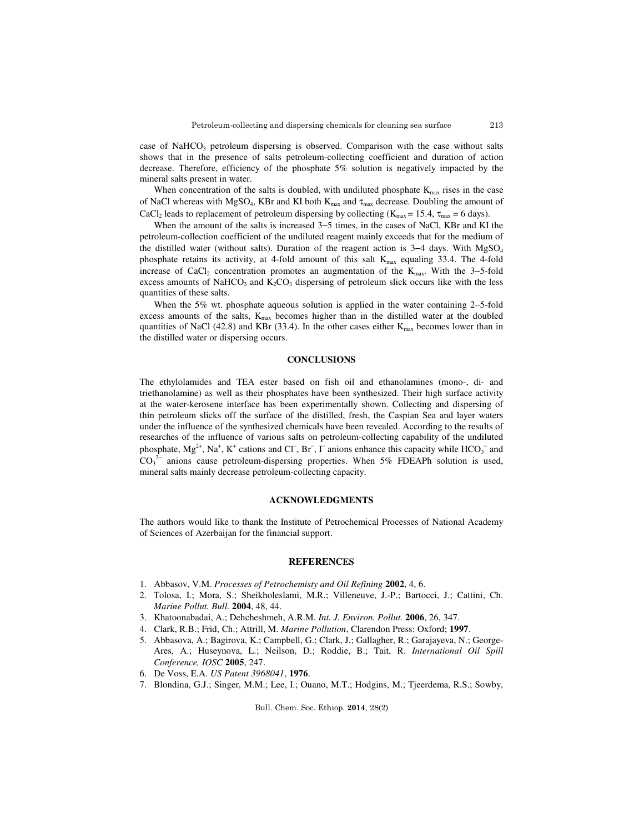case of NaHCO<sub>3</sub> petroleum dispersing is observed. Comparison with the case without salts shows that in the presence of salts petroleum-collecting coefficient and duration of action decrease. Therefore, efficiency of the phosphate 5% solution is negatively impacted by the mineral salts present in water.

When concentration of the salts is doubled, with undiluted phosphate  $K_{\text{max}}$  rises in the case of NaCl whereas with MgSO<sub>4</sub>, KBr and KI both  $K_{\text{max}}$  and  $\tau_{\text{max}}$  decrease. Doubling the amount of CaCl<sub>2</sub> leads to replacement of petroleum dispersing by collecting ( $K_{max} = 15.4$ ,  $\tau_{max} = 6$  days).

 When the amount of the salts is increased 3−5 times, in the cases of NaCl, KBr and KI the petroleum-collection coefficient of the undiluted reagent mainly exceeds that for the medium of the distilled water (without salts). Duration of the reagent action is 3−4 days. With MgSO<sup>4</sup> phosphate retains its activity, at 4-fold amount of this salt  $K_{\text{max}}$  equaling 33.4. The 4-fold increase of CaCl<sub>2</sub> concentration promotes an augmentation of the K<sub>max</sub>. With the 3–5-fold excess amounts of NaHCO<sub>3</sub> and  $K_2CO_3$  dispersing of petroleum slick occurs like with the less quantities of these salts.

When the 5% wt. phosphate aqueous solution is applied in the water containing 2−5-fold excess amounts of the salts,  $K_{\text{max}}$  becomes higher than in the distilled water at the doubled quantities of NaCl (42.8) and KBr (33.4). In the other cases either  $K_{\text{max}}$  becomes lower than in the distilled water or dispersing occurs.

### **CONCLUSIONS**

The ethylolamides and TEA ester based on fish oil and ethanolamines (mono-, di- and triethanolamine) as well as their phosphates have been synthesized. Their high surface activity at the water-kerosene interface has been experimentally shown. Collecting and dispersing of thin petroleum slicks off the surface of the distilled, fresh, the Caspian Sea and layer waters under the influence of the synthesized chemicals have been revealed. According to the results of researches of the influence of various salts on petroleum-collecting capability of the undiluted phosphate,  $Mg^{2+}$ , Na<sup>+</sup>, K<sup>+</sup> cations and Cl<sup>−</sup>, Br<sup>−</sup>,  $\Gamma$  anions enhance this capacity while HCO<sub>3</sub><sup>−</sup> and  $CO<sub>3</sub><sup>2-</sup>$  anions cause petroleum-dispersing properties. When 5% FDEAPh solution is used, mineral salts mainly decrease petroleum-collecting capacity.

#### **ACKNOWLEDGMENTS**

The authors would like to thank the Institute of Petrochemical Processes of National Academy of Sciences of Azerbaijan for the financial support.

## **REFERENCES**

- 1. Abbasov, V.M. *Processes of Petrochemisty and Oil Refining* **2002**, 4, 6.
- 2. Tolosa, I.; Mora, S.; Sheikholeslami, M.R.; Villeneuve, J.-P.; Bartocci, J.; Cattini, Ch. *Marine Pollut. Bull.* **2004**, 48, 44.
- 3. Khatoonabadai, A.; Dehcheshmeh, A.R.M. *Int. J. Environ. Pollut.* **2006**, 26, 347.
- 4. Clark, R.B.; Frid, Ch.; Attrill, M. *Marine Pollution*, Clarendon Press: Oxford; **1997**.
- 5. Abbasova, A.; Bagirova, K.; Campbell, G.; Clark, J.; Gallagher, R.; Garajayeva, N.; George-Ares, A.; Huseynova, L.; Neilson, D.; Roddie, B.; Tait, R. *International Oil Spill Conference, IOSC* **2005**, 247.
- 6. De Voss, E.A. *US Patent 3968041*, **1976**.
- 7. Blondina, G.J.; Singer, M.M.; Lee, I.; Ouano, M.T.; Hodgins, M.; Tjeerdema, R.S.; Sowby,